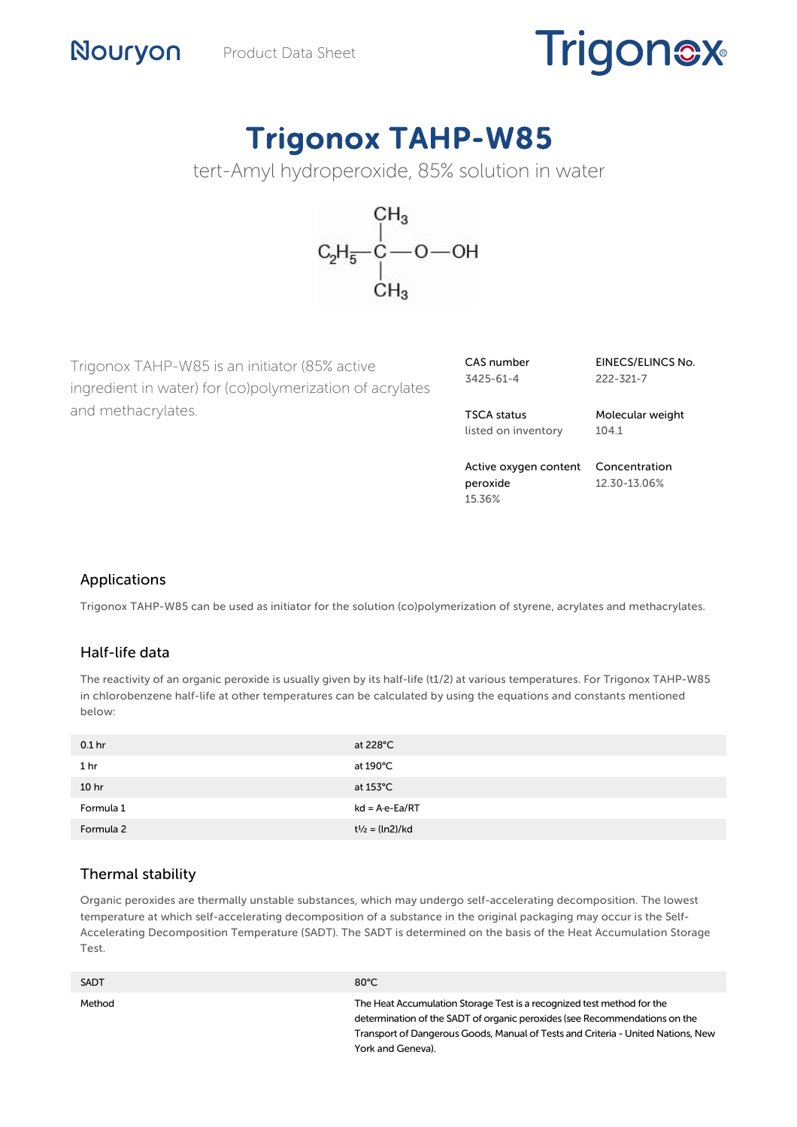# **Trigonex**

## Trigonox TAHP-W85





Trigonox TAHP-W85 is an initiator (85% active ingredient in water) for (co)polymerization of acrylates and methacrylates.

| CAS number |  |
|------------|--|
| 3425-61-4  |  |

EINECS/ELINCS No. 222-321-7

TSCA status listed on inventory Molecular weight 104.1

Active oxygen content Concentration peroxide 15.36% 12.30-13.06%

### Applications

Nouryon

Trigonox TAHP-W85 can be used as initiator for the solution (co)polymerization of styrene, acrylates and methacrylates.

#### Half-life data

The reactivity of an organic peroxide is usually given by its half-life (t1/2) at various temperatures. For Trigonox TAHP-W85 in chlorobenzene half-life at other temperatures can be calculated by using the equations and constants mentioned below:

| 0.1 <sub>hr</sub> | at $228^{\circ}$ C       |
|-------------------|--------------------------|
| 1 hr              | at 190°C                 |
| 10 <sub>hr</sub>  | at $153^{\circ}$ C       |
| Formula 1         | $kd = A \cdot e - Ea/RT$ |
| Formula 2         | $t^{1/2} = (ln2)/kd$     |

#### Thermal stability

Organic peroxides are thermally unstable substances, which may undergo self-accelerating decomposition. The lowest temperature at which self-accelerating decomposition of a substance in the original packaging may occur is the Self-Accelerating Decomposition Temperature (SADT). The SADT is determined on the basis of the Heat Accumulation Storage Test.

| <b>SADT</b> | $80^{\circ}$ C                                                                                                                                                                                                                                                |
|-------------|---------------------------------------------------------------------------------------------------------------------------------------------------------------------------------------------------------------------------------------------------------------|
| Method      | The Heat Accumulation Storage Test is a recognized test method for the<br>determination of the SADT of organic peroxides (see Recommendations on the<br>Transport of Dangerous Goods, Manual of Tests and Criteria - United Nations, New<br>York and Geneva). |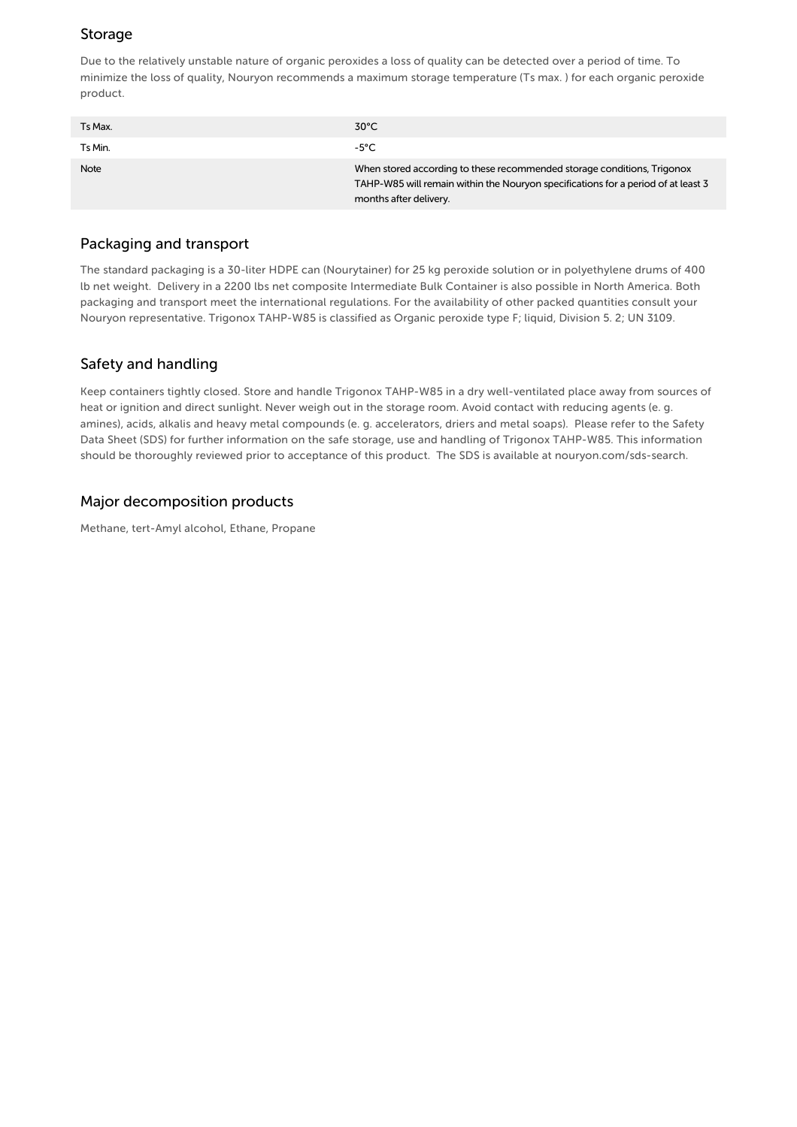#### Storage

Due to the relatively unstable nature of organic peroxides a loss of quality can be detected over a period of time. To minimize the loss of quality, Nouryon recommends a maximum storage temperature (Ts max. ) for each organic peroxide product.

| Ts Max.     | $30^{\circ}$ C                                                                                                                                                                         |
|-------------|----------------------------------------------------------------------------------------------------------------------------------------------------------------------------------------|
| Ts Min.     | $-5^{\circ}$ C                                                                                                                                                                         |
| <b>Note</b> | When stored according to these recommended storage conditions, Trigonox<br>TAHP-W85 will remain within the Nouryon specifications for a period of at least 3<br>months after delivery. |

#### Packaging and transport

The standard packaging is a 30-liter HDPE can (Nourytainer) for 25 kg peroxide solution or in polyethylene drums of 400 lb net weight. Delivery in a 2200 lbs net composite Intermediate Bulk Container is also possible in North America. Both packaging and transport meet the international regulations. For the availability of other packed quantities consult your Nouryon representative. Trigonox TAHP-W85 is classified as Organic peroxide type F; liquid, Division 5. 2; UN 3109.

#### Safety and handling

Keep containers tightly closed. Store and handle Trigonox TAHP-W85 in a dry well-ventilated place away from sources of heat or ignition and direct sunlight. Never weigh out in the storage room. Avoid contact with reducing agents (e. g. amines), acids, alkalis and heavy metal compounds (e. g. accelerators, driers and metal soaps). Please refer to the Safety Data Sheet (SDS) for further information on the safe storage, use and handling of Trigonox TAHP-W85. This information should be thoroughly reviewed prior to acceptance of this product. The SDS is available at nouryon.com/sds-search.

#### Major decomposition products

Methane, tert-Amyl alcohol, Ethane, Propane